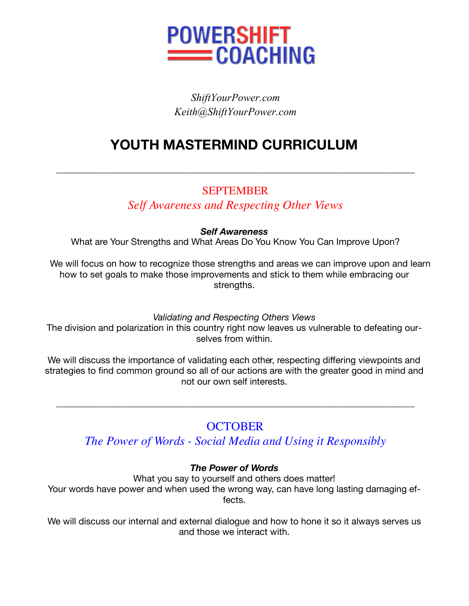

# *ShiftYourPower.com Keith@ShiftYourPower.com*

# **YOUTH MASTERMIND CURRICULUM**

## **SEPTEMBER**

\_\_\_\_\_\_\_\_\_\_\_\_\_\_\_\_\_\_\_\_\_\_\_\_\_\_\_\_\_\_\_\_\_\_\_\_\_\_\_\_\_\_\_\_\_\_\_\_\_\_\_\_\_\_\_\_\_\_\_\_\_\_\_\_\_\_\_\_\_\_\_\_\_\_\_\_\_\_

## *Self Awareness and Respecting Other Views*

#### *Self Awareness*

What are Your Strengths and What Areas Do You Know You Can Improve Upon?

 We will focus on how to recognize those strengths and areas we can improve upon and learn how to set goals to make those improvements and stick to them while embracing our strengths.

#### *Validating and Respecting Others Views*

The division and polarization in this country right now leaves us vulnerable to defeating ourselves from within.

We will discuss the importance of validating each other, respecting differing viewpoints and strategies to find common ground so all of our actions are with the greater good in mind and not our own self interests.

# **OCTOBER**

\_\_\_\_\_\_\_\_\_\_\_\_\_\_\_\_\_\_\_\_\_\_\_\_\_\_\_\_\_\_\_\_\_\_\_\_\_\_\_\_\_\_\_\_\_\_\_\_\_\_\_\_\_\_\_\_\_\_\_\_\_\_\_\_\_\_\_\_\_\_\_\_\_\_\_\_\_\_

*The Power of Words - Social Media and Using it Responsibly*

### *The Power of Words*

What you say to yourself and others does matter! Your words have power and when used the wrong way, can have long lasting damaging effects.

We will discuss our internal and external dialogue and how to hone it so it always serves us and those we interact with.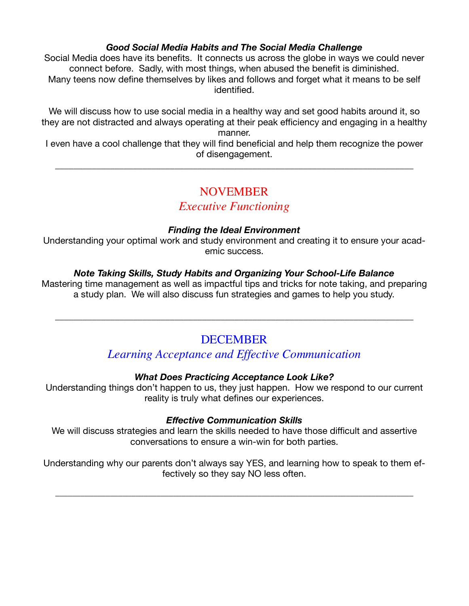#### *Good Social Media Habits and The Social Media Challenge*

Social Media does have its benefits. It connects us across the globe in ways we could never connect before. Sadly, with most things, when abused the benefit is diminished. Many teens now define themselves by likes and follows and forget what it means to be self identified.

We will discuss how to use social media in a healthy way and set good habits around it, so they are not distracted and always operating at their peak efficiency and engaging in a healthy manner.

I even have a cool challenge that they will find beneficial and help them recognize the power of disengagement.

\_\_\_\_\_\_\_\_\_\_\_\_\_\_\_\_\_\_\_\_\_\_\_\_\_\_\_\_\_\_\_\_\_\_\_\_\_\_\_\_\_\_\_\_\_\_\_\_\_\_\_\_\_\_\_\_\_\_\_\_\_\_\_\_\_\_\_\_\_\_\_\_\_\_\_\_\_\_

### NOVEMBER

### *Executive Functioning*

#### *Finding the Ideal Environment*

Understanding your optimal work and study environment and creating it to ensure your academic success.

#### *Note Taking Skills, Study Habits and Organizing Your School-Life Balance*

Mastering time management as well as impactful tips and tricks for note taking, and preparing a study plan. We will also discuss fun strategies and games to help you study.

# **DECEMBER**

\_\_\_\_\_\_\_\_\_\_\_\_\_\_\_\_\_\_\_\_\_\_\_\_\_\_\_\_\_\_\_\_\_\_\_\_\_\_\_\_\_\_\_\_\_\_\_\_\_\_\_\_\_\_\_\_\_\_\_\_\_\_\_\_\_\_\_\_\_\_\_\_\_\_\_\_\_\_

### *Learning Acceptance and Effective Communication*

#### *What Does Practicing Acceptance Look Like?*

Understanding things don't happen to us, they just happen. How we respond to our current reality is truly what defines our experiences.

#### *Effective Communication Skills*

We will discuss strategies and learn the skills needed to have those difficult and assertive conversations to ensure a win-win for both parties.

Understanding why our parents don't always say YES, and learning how to speak to them effectively so they say NO less often.

\_\_\_\_\_\_\_\_\_\_\_\_\_\_\_\_\_\_\_\_\_\_\_\_\_\_\_\_\_\_\_\_\_\_\_\_\_\_\_\_\_\_\_\_\_\_\_\_\_\_\_\_\_\_\_\_\_\_\_\_\_\_\_\_\_\_\_\_\_\_\_\_\_\_\_\_\_\_\_\_\_\_\_\_\_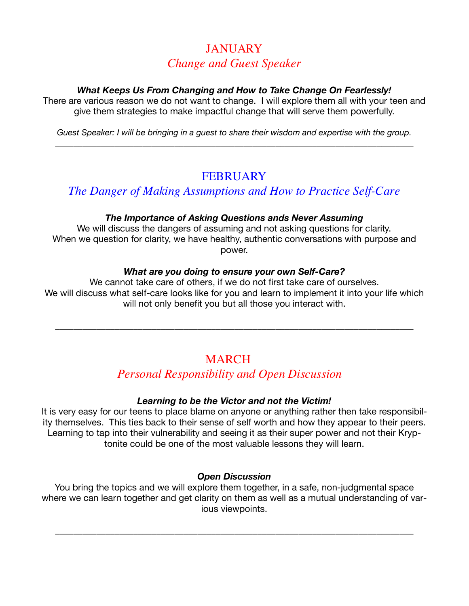# **JANUARY** *Change and Guest Speaker*

#### *What Keeps Us From Changing and How to Take Change On Fearlessly!*

There are various reason we do not want to change. I will explore them all with your teen and give them strategies to make impactful change that will serve them powerfully.

*Guest Speaker: I will be bringing in a guest to share their wisdom and expertise with the group.*  \_\_\_\_\_\_\_\_\_\_\_\_\_\_\_\_\_\_\_\_\_\_\_\_\_\_\_\_\_\_\_\_\_\_\_\_\_\_\_\_\_\_\_\_\_\_\_\_\_\_\_\_\_\_\_\_\_\_\_\_\_\_\_\_\_\_\_\_\_\_\_\_\_\_\_\_\_\_

# **FEBRUARY**

## *The Danger of Making Assumptions and How to Practice Self-Care*

#### *The Importance of Asking Questions ands Never Assuming*

We will discuss the dangers of assuming and not asking questions for clarity. When we question for clarity, we have healthy, authentic conversations with purpose and power.

#### *What are you doing to ensure your own Self-Care?*

We cannot take care of others, if we do not first take care of ourselves. We will discuss what self-care looks like for you and learn to implement it into your life which will not only benefit you but all those you interact with.

\_\_\_\_\_\_\_\_\_\_\_\_\_\_\_\_\_\_\_\_\_\_\_\_\_\_\_\_\_\_\_\_\_\_\_\_\_\_\_\_\_\_\_\_\_\_\_\_\_\_\_\_\_\_\_\_\_\_\_\_\_\_\_\_\_\_\_\_\_\_\_\_\_\_\_\_\_\_

# **MARCH**

# **Personal Responsibility and Open Discussion**

### *Learning to be the Victor and not the Victim!*

It is very easy for our teens to place blame on anyone or anything rather then take responsibility themselves. This ties back to their sense of self worth and how they appear to their peers. Learning to tap into their vulnerability and seeing it as their super power and not their Kryptonite could be one of the most valuable lessons they will learn.

#### *Open Discussion*

You bring the topics and we will explore them together, in a safe, non-judgmental space where we can learn together and get clarity on them as well as a mutual understanding of various viewpoints.

\_\_\_\_\_\_\_\_\_\_\_\_\_\_\_\_\_\_\_\_\_\_\_\_\_\_\_\_\_\_\_\_\_\_\_\_\_\_\_\_\_\_\_\_\_\_\_\_\_\_\_\_\_\_\_\_\_\_\_\_\_\_\_\_\_\_\_\_\_\_\_\_\_\_\_\_\_\_